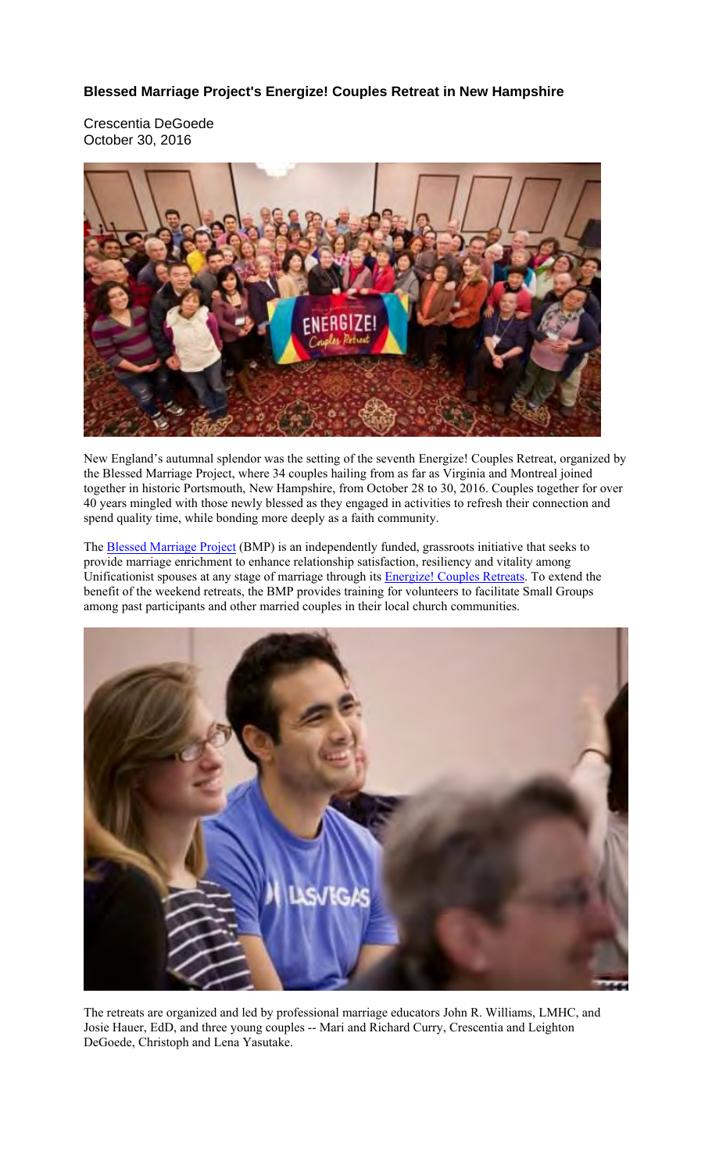**Blessed Marriage Project's Energize! Couples Retreat in New Hampshire**

Crescentia DeGoede October 30, 2016



New England's autumnal splendor was the setting of the seventh Energize! Couples Retreat, organized by the Blessed Marriage Project, where 34 couples hailing from as far as Virginia and Montreal joined together in historic Portsmouth, New Hampshire, from October 28 to 30, 2016. Couples together for over 40 years mingled with those newly blessed as they engaged in activities to refresh their connection and spend quality time, while bonding more deeply as a faith community.

The **Blessed Marriage Project** (BMP) is an independently funded, grassroots initiative that seeks to provide marriage enrichment to enhance relationship satisfaction, resiliency and vitality among Unificationist spouses at any stage of marriage through its Energize! Couples Retreats. To extend the benefit of the weekend retreats, the BMP provides training for volunteers to facilitate Small Groups among past participants and other married couples in their local church communities.



The retreats are organized and led by professional marriage educators John R. Williams, LMHC, and Josie Hauer, EdD, and three young couples -- Mari and Richard Curry, Crescentia and Leighton DeGoede, Christoph and Lena Yasutake.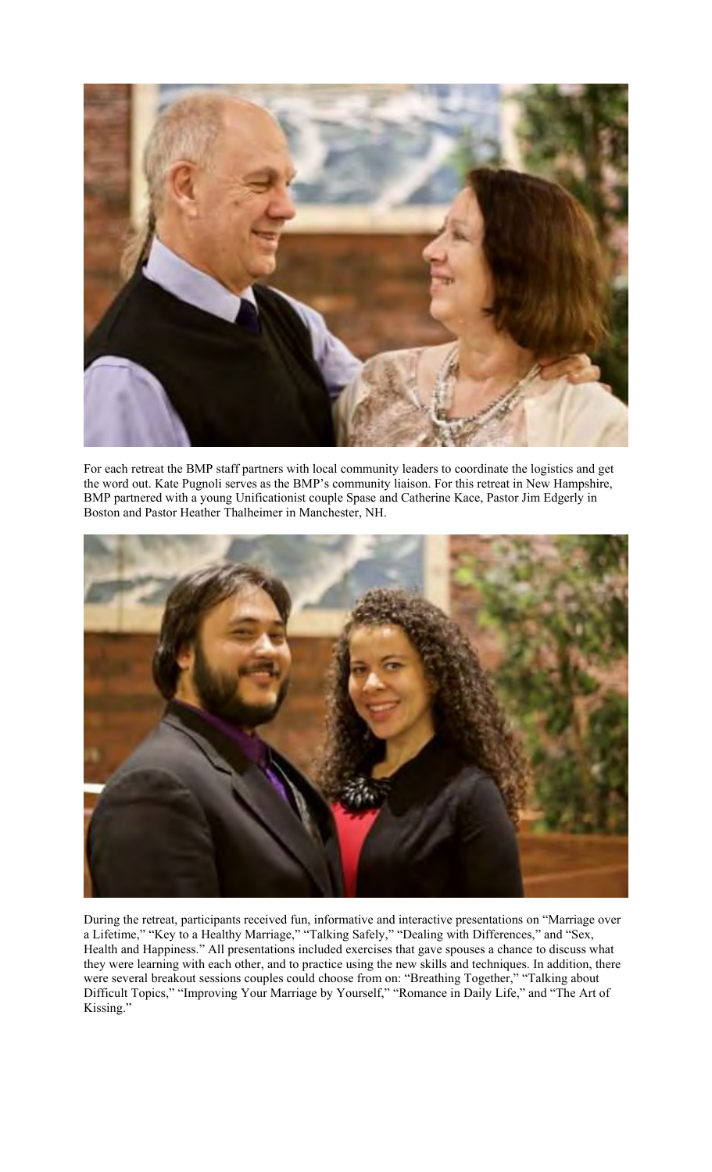

For each retreat the BMP staff partners with local community leaders to coordinate the logistics and get the word out. Kate Pugnoli serves as the BMP's community liaison. For this retreat in New Hampshire, BMP partnered with a young Unificationist couple Spase and Catherine Kace, Pastor Jim Edgerly in Boston and Pastor Heather Thalheimer in Manchester, NH.



During the retreat, participants received fun, informative and interactive presentations on "Marriage over a Lifetime," "Key to a Healthy Marriage," "Talking Safely," "Dealing with Differences," and "Sex, Health and Happiness." All presentations included exercises that gave spouses a chance to discuss what they were learning with each other, and to practice using the new skills and techniques. In addition, there were several breakout sessions couples could choose from on: "Breathing Together," "Talking about Difficult Topics," "Improving Your Marriage by Yourself," "Romance in Daily Life," and "The Art of Kissing."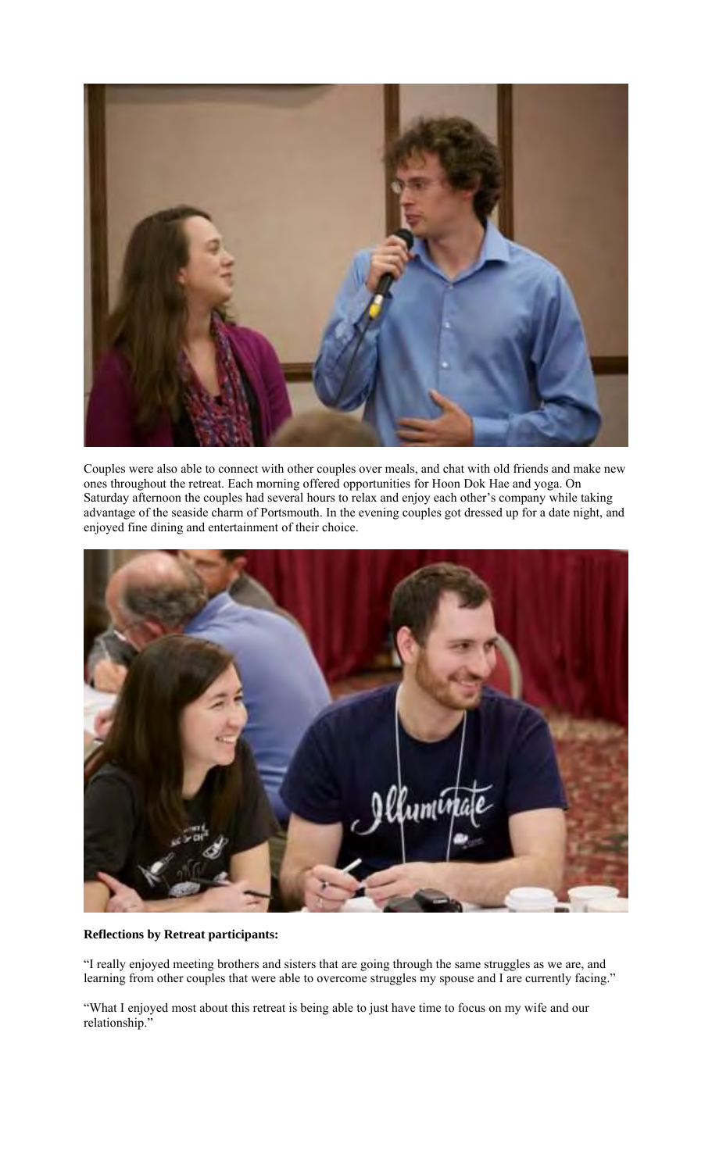

Couples were also able to connect with other couples over meals, and chat with old friends and make new ones throughout the retreat. Each morning offered opportunities for Hoon Dok Hae and yoga. On Saturday afternoon the couples had several hours to relax and enjoy each other's company while taking advantage of the seaside charm of Portsmouth. In the evening couples got dressed up for a date night, and enjoyed fine dining and entertainment of their choice.



## **Reflections by Retreat participants:**

"I really enjoyed meeting brothers and sisters that are going through the same struggles as we are, and learning from other couples that were able to overcome struggles my spouse and I are currently facing."

"What I enjoyed most about this retreat is being able to just have time to focus on my wife and our relationship."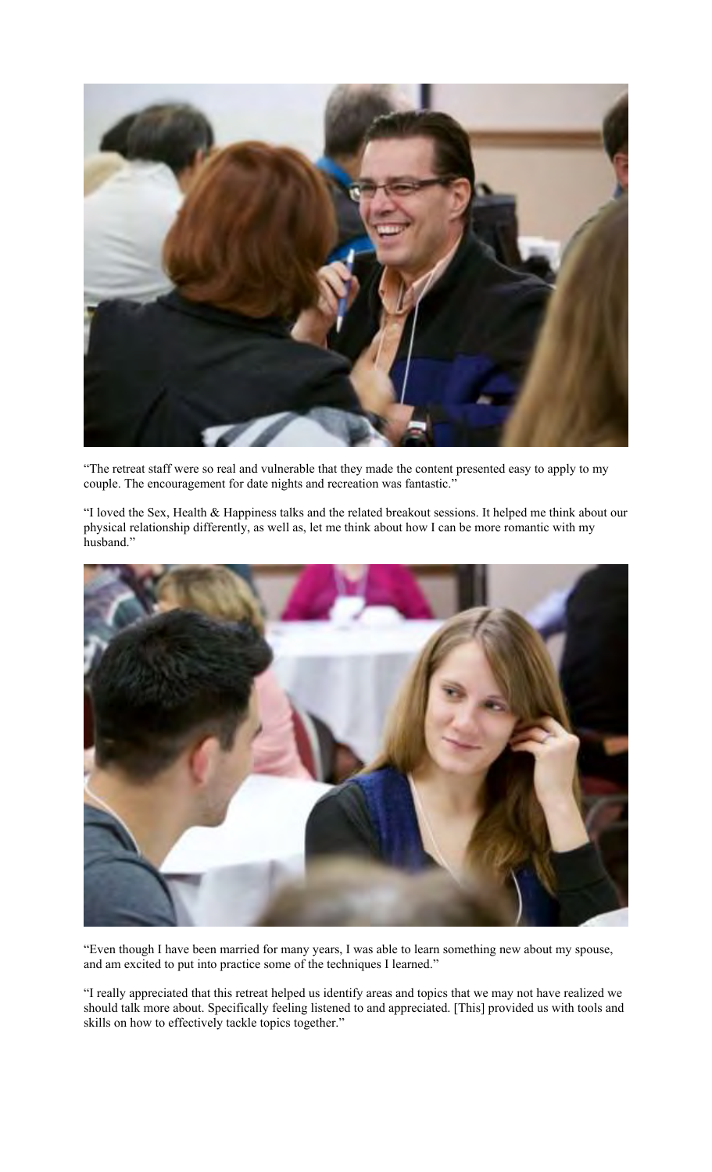

"The retreat staff were so real and vulnerable that they made the content presented easy to apply to my couple. The encouragement for date nights and recreation was fantastic."

"I loved the Sex, Health & Happiness talks and the related breakout sessions. It helped me think about our physical relationship differently, as well as, let me think about how I can be more romantic with my husband."



"Even though I have been married for many years, I was able to learn something new about my spouse, and am excited to put into practice some of the techniques I learned."

"I really appreciated that this retreat helped us identify areas and topics that we may not have realized we should talk more about. Specifically feeling listened to and appreciated. [This] provided us with tools and skills on how to effectively tackle topics together."